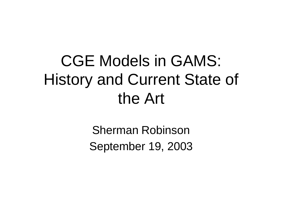## CGE Models in GAMS: History and Current State of the Art

Sherman Robinson September 19, 2003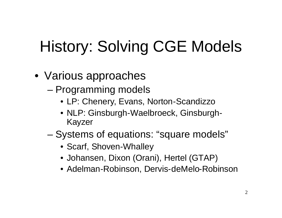# History: Solving CGE Models

- Various approaches
	- Programming models
		- LP: Chenery, Evans, Norton-Scandizzo
		- NLP: Ginsburgh-Waelbroeck, Ginsburgh-Kayzer
	- Systems of equations: "square models"
		- Scarf, Shoven-Whalley
		- Johansen, Dixon (Orani), Hertel (GTAP)
		- Adelman-Robinson, Dervis-deMelo-Robinson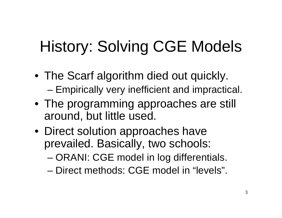# History: Solving CGE Models

- The Scarf algorithm died out quickly. – Empirically very inefficient and impractical.
- The programming approaches are still around, but little used.
- Direct solution approaches have prevailed. Basically, two schools:
	- ORANI: CGE model in log differentials.
	- Direct methods: CGE model in "levels".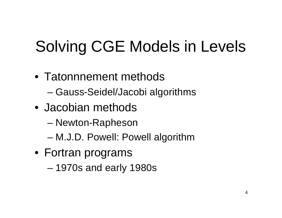# Solving CGE Models in Levels

- Tatonnnement methods – Gauss-Seidel/Jacobi algorithms
- Jacobian methods
	- Newton-Rapheson
	- M.J.D. Powell: Powell algorithm
- Fortran programs
	- 1970s and early 1980s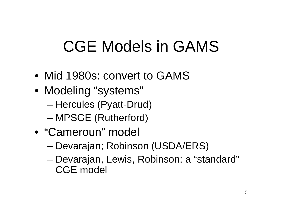## CGE Models in GAMS

- Mid 1980s: convert to GAMS
- Modeling "systems" – Hercules (Pyatt-Drud) – MPSGE (Rutherford)
- "Cameroun" model
	- Devarajan; Robinson (USDA/ERS)
	- Devarajan, Lewis, Robinson: a "standard" CGE model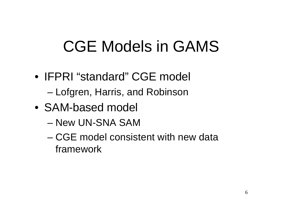## CGE Models in GAMS

- IFPRI "standard" CGE model – Lofgren, Harris, and Robinson
- SAM-based model
	- New UN-SNA SAM
	- CGE model consistent with new data framework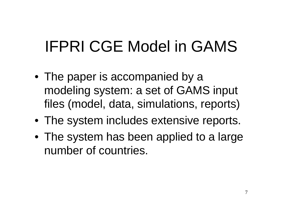# IFPRI CGE Model in GAMS

- The paper is accompanied by a modeling system: a set of GAMS input files (model, data, simulations, reports)
- The system includes extensive reports.
- The system has been applied to a large number of countries.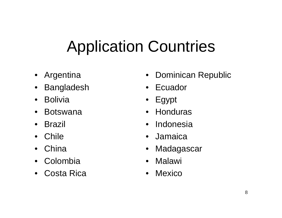# Application Countries

- Argentina
- Bangladesh
- Bolivia
- Botswana
- Brazil
- Chile
- China
- Colombia
- Costa Rica
- Dominican Republic
- Ecuador
- Egypt
- Honduras
- Indonesia
- Jamaica
- **Madagascar**
- Malawi
- Mexico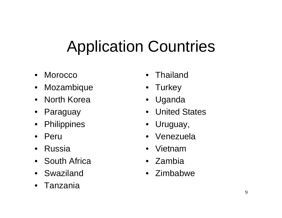# Application Countries

- Morocco
- Mozambique
- North Korea
- Paraguay
- Philippines
- Peru
- Russia
- South Africa
- Swaziland
- Tanzania
- Thailand
- Turkey
- Uganda
- United States
- Uruguay,
- Venezuela
- Vietnam
- Zambia
- Zimbabwe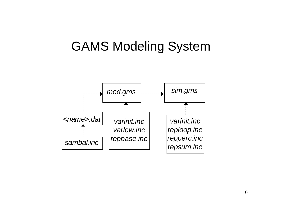#### GAMS Modeling System

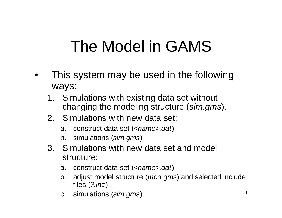## The Model in GAMS

- This system may be used in the following ways:
	- 1. Simulations with existing data set without changing the modeling structure (*sim.gms*).
	- 2. Simulations with new data set:
		- a. construct data set (*<name>.dat*)
		- b. simulations (*sim.gms*)
	- 3. Simulations with new data set and model structure:
		- a. construct data set (*<name>.dat*)
		- b. adjust model structure (*mod.gms*) and selected include files (*?.inc*)
		- c. simulations (*sim.gms*)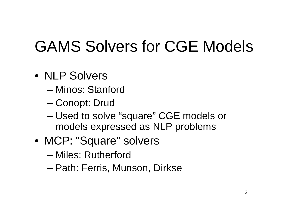# GAMS Solvers for CGE Models

- NLP Solvers
	- Minos: Stanford
	- Conopt: Drud
	- Used to solve "square" CGE models or models expressed as NLP problems
- MCP: "Square" solvers
	- Miles: Rutherford
	- Path: Ferris, Munson, Dirkse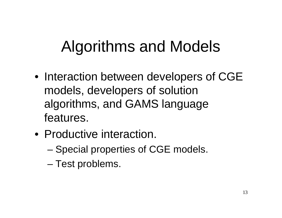# Algorithms and Models

- Interaction between developers of CGE models, developers of solution algorithms, and GAMS language features.
- Productive interaction.
	- Special properties of CGE models.
	- Test problems.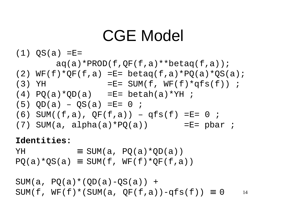#### CGE Model

 $(1)$  QS(a) = E =

- $aq(a)*PROD(f,QF(f,a)**beta(f,a));$
- (2)  $WF(f)*QF(f,a)$  = E betaq(f,a)\*PQ(a)\*QS(a);
- (3) YH  $=$   $E=$  SUM(f,  $WF(f)*qfs(f)$ ) ;
- $(4)$  PQ(a)\*QD(a) = E= betah(a)\*YH ;
- $(5)$  QD(a) QS(a) = E = 0 ;
- $(6)$  SUM( $(f,a)$ , QF $(f,a)$ ) qfs $(f)$  =E= 0;
- (7) SUM(a, alpha(a)\*PQ(a)) =  $E =$  pbar ;

**Identities:**

 $YH$   $\equiv$  SUM(a, PQ(a)\*QD(a))

 $PO(a)*QS(a) \equiv SUM(f, WF(f)*QF(f,a))$ 

14  $SUM(a, PQ(a)*(QD(a)-QS(a)) +$ SUM(f,  $WF(f) * (SUM(a, OF(f,a)) - qfs(f)) = 0$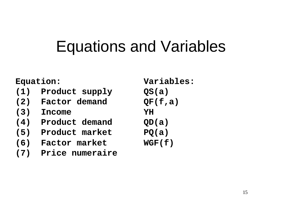#### Equations and Variables

**Equation: Variables:**

- **(1) Product supply QS(a)**
- **(2) Factor demand QF(f,a)**
- **(3) Income YH**
- **(4) Product demand QD(a)**
- **(5) Product market PQ(a)**
- **(6) Factor market WGF(f)**
- **(7) Price numeraire**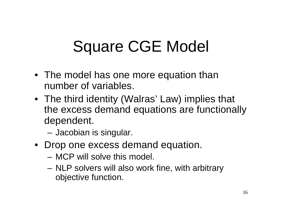# Square CGE Model

- The model has one more equation than number of variables.
- The third identity (Walras' Law) implies that the excess demand equations are functionally dependent.
	- Jacobian is singular.
- Drop one excess demand equation.
	- MCP will solve this model.
	- NLP solvers will also work fine, with arbitrary objective function.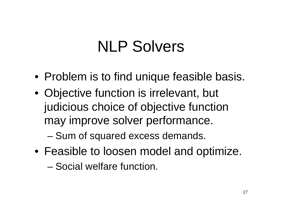#### NLP Solvers

- Problem is to find unique feasible basis.
- Objective function is irrelevant, but judicious choice of objective function may improve solver performance.

– Sum of squared excess demands.

• Feasible to loosen model and optimize.

– Social welfare function.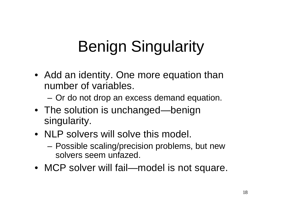# Benign Singularity

• Add an identity. One more equation than number of variables.

– Or do not drop an excess demand equation.

- The solution is unchanged—benign singularity.
- NLP solvers will solve this model.
	- Possible scaling/precision problems, but new solvers seem unfazed.
- MCP solver will fail—model is not square.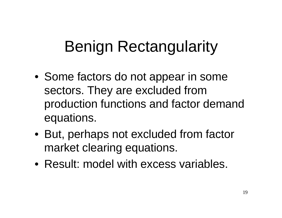# Benign Rectangularity

- Some factors do not appear in some sectors. They are excluded from production functions and factor demand equations.
- But, perhaps not excluded from factor market clearing equations.
- Result: model with excess variables.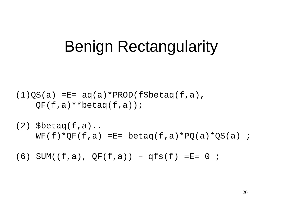#### Benign Rectangularity

 $(1)QS(a)$  =E=  $aq(a)*PROD(fSbeta(q(f,a)),$  $OF(f,a)**beta(f,a))$ ;

 $(2)$  \$betaq(f,a)..  $WF(f)*QF(f,a) = E= \beta\text{beta}(f,a)*PQ(a)*QS(a)$ ;

 $(6)$  SUM( $(f,a)$ , QF(f,a)) – qfs(f) =E= 0;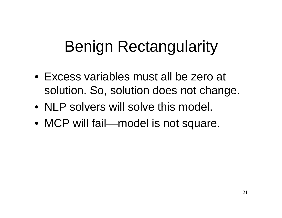## Benign Rectangularity

- Excess variables must all be zero at solution. So, solution does not change.
- NLP solvers will solve this model.
- MCP will fail—model is not square.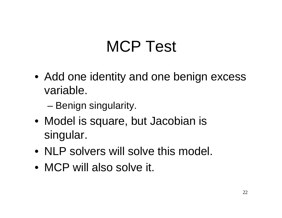### MCP Test

- Add one identity and one benign excess variable.
	- Benign singularity.
- Model is square, but Jacobian is singular.
- NLP solvers will solve this model.
- MCP will also solve it.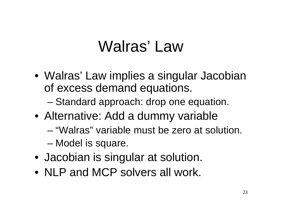#### Walras' Law

- Walras' Law implies a singular Jacobian of excess demand equations.
	- Standard approach: drop one equation.
- Alternative: Add a dummy variable
	- "Walras" variable must be zero at solution.
	- Model is square.
- Jacobian is singular at solution.
- NLP and MCP solvers all work.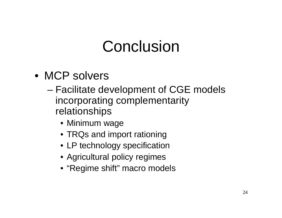#### Conclusion

- MCP solvers
	- Facilitate development of CGE models incorporating complementarity relationships
		- Minimum wage
		- TRQs and import rationing
		- LP technology specification
		- Agricultural policy regimes
		- "Regime shift" macro models